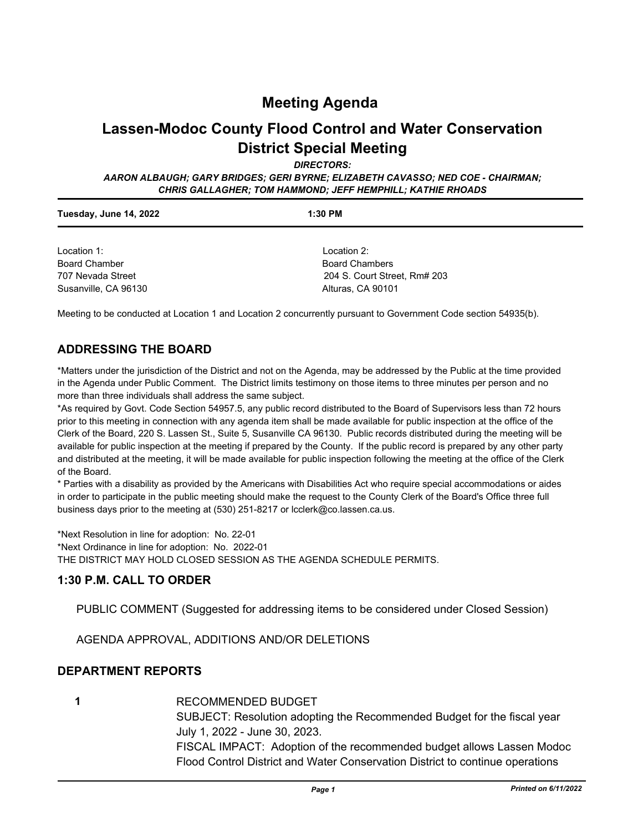## **Meeting Agenda**

# **Lassen-Modoc County Flood Control and Water Conservation District Special Meeting**

*DIRECTORS:*

*AARON ALBAUGH; GARY BRIDGES; GERI BYRNE; ELIZABETH CAVASSO; NED COE - CHAIRMAN; CHRIS GALLAGHER; TOM HAMMOND; JEFF HEMPHILL; KATHIE RHOADS*

| Tuesday, June 14, 2022 | $1:30$ PM                    |  |
|------------------------|------------------------------|--|
| Location 1:            | Location 2:                  |  |
| <b>Board Chamber</b>   | <b>Board Chambers</b>        |  |
| 707 Nevada Street      | 204 S. Court Street, Rm# 203 |  |
| Susanville, CA 96130   | Alturas, CA 90101            |  |

Meeting to be conducted at Location 1 and Location 2 concurrently pursuant to Government Code section 54935(b).

#### **ADDRESSING THE BOARD**

\*Matters under the jurisdiction of the District and not on the Agenda, may be addressed by the Public at the time provided in the Agenda under Public Comment. The District limits testimony on those items to three minutes per person and no more than three individuals shall address the same subject.

\*As required by Govt. Code Section 54957.5, any public record distributed to the Board of Supervisors less than 72 hours prior to this meeting in connection with any agenda item shall be made available for public inspection at the office of the Clerk of the Board, 220 S. Lassen St., Suite 5, Susanville CA 96130. Public records distributed during the meeting will be available for public inspection at the meeting if prepared by the County. If the public record is prepared by any other party and distributed at the meeting, it will be made available for public inspection following the meeting at the office of the Clerk of the Board.

\* Parties with a disability as provided by the Americans with Disabilities Act who require special accommodations or aides in order to participate in the public meeting should make the request to the County Clerk of the Board's Office three full business days prior to the meeting at (530) 251-8217 or lcclerk@co.lassen.ca.us.

\*Next Resolution in line for adoption: No. 22-01 \*Next Ordinance in line for adoption: No. 2022-01 THE DISTRICT MAY HOLD CLOSED SESSION AS THE AGENDA SCHEDULE PERMITS.

#### **1:30 P.M. CALL TO ORDER**

PUBLIC COMMENT (Suggested for addressing items to be considered under Closed Session)

AGENDA APPROVAL, ADDITIONS AND/OR DELETIONS

#### **DEPARTMENT REPORTS**

**1**

RECOMMENDED BUDGET

SUBJECT: Resolution adopting the Recommended Budget for the fiscal year July 1, 2022 - June 30, 2023. FISCAL IMPACT: Adoption of the recommended budget allows Lassen Modoc

Flood Control District and Water Conservation District to continue operations